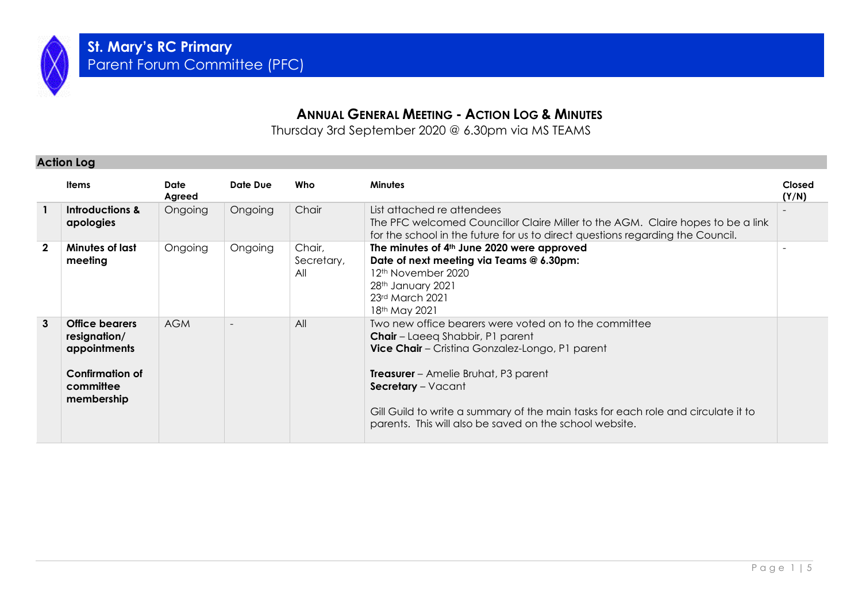

## **ANNUAL GENERAL MEETING - ACTION LOG & MINUTES**

Thursday 3rd September 2020 @ 6.30pm via MS TEAMS

#### **Action Log**

|             | <b>Items</b>                                                                                        | Date<br>Agreed | Date Due | Who                         | <b>Minutes</b>                                                                                                                                                                                                                                                                                                                                                                  | Closed<br>(Y/N) |
|-------------|-----------------------------------------------------------------------------------------------------|----------------|----------|-----------------------------|---------------------------------------------------------------------------------------------------------------------------------------------------------------------------------------------------------------------------------------------------------------------------------------------------------------------------------------------------------------------------------|-----------------|
|             | Introductions &<br>apologies                                                                        | Ongoing        | Ongoing  | Chair                       | List attached re attendees<br>The PFC welcomed Councillor Claire Miller to the AGM. Claire hopes to be a link<br>for the school in the future for us to direct questions regarding the Council.                                                                                                                                                                                 |                 |
| $\mathbf 2$ | Minutes of last<br>meeting                                                                          | Ongoing        | Ongoing  | Chair,<br>Secretary,<br>All | The minutes of 4th June 2020 were approved<br>Date of next meeting via Teams @ 6.30pm:<br>12 <sup>th</sup> November 2020<br>28th January 2021<br>23rd March 2021<br>18 <sup>th</sup> May 2021                                                                                                                                                                                   |                 |
| 3           | <b>Office bearers</b><br>resignation/<br>appointments<br>Confirmation of<br>committee<br>membership | <b>AGM</b>     |          | All                         | Two new office bearers were voted on to the committee<br><b>Chair</b> – Laeeg Shabbir, P1 parent<br><b>Vice Chair</b> – Cristina Gonzalez-Longo, P1 parent<br><b>Treasurer</b> – Amelie Bruhat, P3 parent<br>Secretary - Vacant<br>Gill Guild to write a summary of the main tasks for each role and circulate it to<br>parents. This will also be saved on the school website. |                 |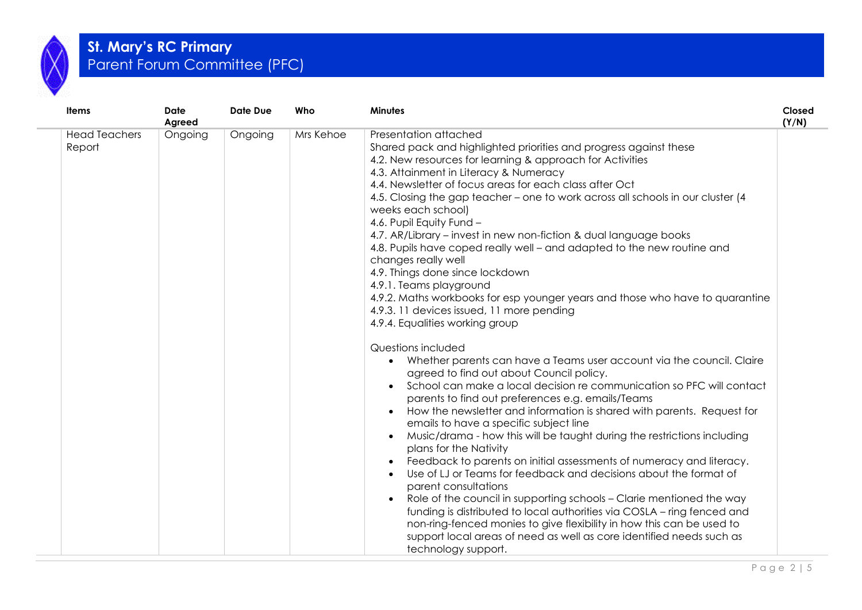

# **St. Mary's RC Primary**  Parent Forum Committee (PFC)

| <b>Items</b>                   | <b>Date</b><br>Agreed | Date Due | Who       | <b>Minutes</b>                                                                                                                                                                                                                                                                                                                                                                                                                                                                                                                                                                                                                                                                                                                                                                                                                                                                                                                                                                                                                                                                                                                                                                                                                                                                                                                                                                                                                                                                                                                                                                                                                                                                                                                                                                                                         | Closed<br>(Y/N) |
|--------------------------------|-----------------------|----------|-----------|------------------------------------------------------------------------------------------------------------------------------------------------------------------------------------------------------------------------------------------------------------------------------------------------------------------------------------------------------------------------------------------------------------------------------------------------------------------------------------------------------------------------------------------------------------------------------------------------------------------------------------------------------------------------------------------------------------------------------------------------------------------------------------------------------------------------------------------------------------------------------------------------------------------------------------------------------------------------------------------------------------------------------------------------------------------------------------------------------------------------------------------------------------------------------------------------------------------------------------------------------------------------------------------------------------------------------------------------------------------------------------------------------------------------------------------------------------------------------------------------------------------------------------------------------------------------------------------------------------------------------------------------------------------------------------------------------------------------------------------------------------------------------------------------------------------------|-----------------|
| <b>Head Teachers</b><br>Report | Ongoing               | Ongoing  | Mrs Kehoe | Presentation attached<br>Shared pack and highlighted priorities and progress against these<br>4.2. New resources for learning & approach for Activities<br>4.3. Attainment in Literacy & Numeracy<br>4.4. Newsletter of focus areas for each class after Oct<br>4.5. Closing the gap teacher – one to work across all schools in our cluster (4<br>weeks each school)<br>4.6. Pupil Equity Fund -<br>4.7. AR/Library - invest in new non-fiction & dual language books<br>4.8. Pupils have coped really well - and adapted to the new routine and<br>changes really well<br>4.9. Things done since lockdown<br>4.9.1. Teams playground<br>4.9.2. Maths workbooks for esp younger years and those who have to quarantine<br>4.9.3. 11 devices issued, 11 more pending<br>4.9.4. Equalities working group<br>Questions included<br>Whether parents can have a Teams user account via the council. Claire<br>agreed to find out about Council policy.<br>School can make a local decision re communication so PFC will contact<br>parents to find out preferences e.g. emails/Teams<br>How the newsletter and information is shared with parents. Request for<br>emails to have a specific subject line<br>Music/drama - how this will be taught during the restrictions including<br>$\bullet$<br>plans for the Nativity<br>Feedback to parents on initial assessments of numeracy and literacy.<br>Use of LJ or Teams for feedback and decisions about the format of<br>parent consultations<br>Role of the council in supporting schools - Clarie mentioned the way<br>funding is distributed to local authorities via COSLA – ring fenced and<br>non-ring-fenced monies to give flexibility in how this can be used to<br>support local areas of need as well as core identified needs such as<br>technology support. |                 |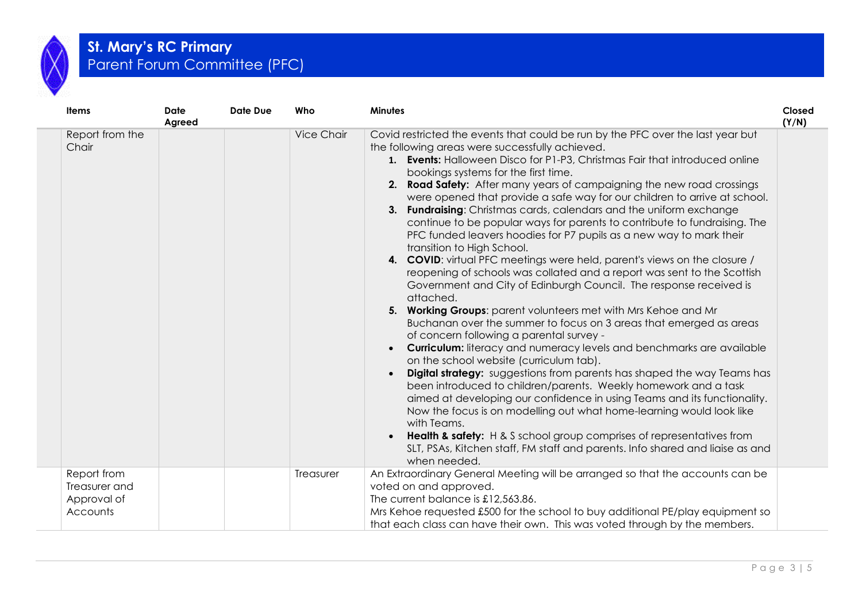

# **St. Mary's RC Primary**  Parent Forum Committee (PFC)

| Items                                                   | <b>Date</b><br>Agreed | <b>Date Due</b> | Who               | <b>Minutes</b>                                                                                                                                                                                                                                                                                                                                                                                                                                                                                                                                                                                                                                                                                                                                                                                                                                                                                                                                                                                                                                                                                                                                                                                                                                                                                                                                                                                                                                                                                                                                                                                                                                                                                                                              | Closed<br>(Y/N) |
|---------------------------------------------------------|-----------------------|-----------------|-------------------|---------------------------------------------------------------------------------------------------------------------------------------------------------------------------------------------------------------------------------------------------------------------------------------------------------------------------------------------------------------------------------------------------------------------------------------------------------------------------------------------------------------------------------------------------------------------------------------------------------------------------------------------------------------------------------------------------------------------------------------------------------------------------------------------------------------------------------------------------------------------------------------------------------------------------------------------------------------------------------------------------------------------------------------------------------------------------------------------------------------------------------------------------------------------------------------------------------------------------------------------------------------------------------------------------------------------------------------------------------------------------------------------------------------------------------------------------------------------------------------------------------------------------------------------------------------------------------------------------------------------------------------------------------------------------------------------------------------------------------------------|-----------------|
| Report from the<br>Chair                                |                       |                 | <b>Vice Chair</b> | Covid restricted the events that could be run by the PFC over the last year but<br>the following areas were successfully achieved.<br>1. Events: Halloween Disco for P1-P3, Christmas Fair that introduced online<br>bookings systems for the first time.<br>Road Safety: After many years of campaigning the new road crossings<br>2.<br>were opened that provide a safe way for our children to arrive at school.<br><b>Fundraising:</b> Christmas cards, calendars and the uniform exchange<br>3.<br>continue to be popular ways for parents to contribute to fundraising. The<br>PFC funded leavers hoodies for P7 pupils as a new way to mark their<br>transition to High School.<br>4. COVID: virtual PFC meetings were held, parent's views on the closure /<br>reopening of schools was collated and a report was sent to the Scottish<br>Government and City of Edinburgh Council. The response received is<br>attached.<br>5. Working Groups: parent volunteers met with Mrs Kehoe and Mr<br>Buchanan over the summer to focus on 3 areas that emerged as areas<br>of concern following a parental survey -<br><b>Curriculum:</b> literacy and numeracy levels and benchmarks are available<br>on the school website (curriculum tab).<br>Digital strategy: suggestions from parents has shaped the way Teams has<br>been introduced to children/parents. Weekly homework and a task<br>aimed at developing our confidence in using Teams and its functionality.<br>Now the focus is on modelling out what home-learning would look like<br>with Teams.<br>Health & safety: H & S school group comprises of representatives from<br>SLT, PSAs, Kitchen staff, FM staff and parents. Info shared and liaise as and<br>when needed. |                 |
| Report from<br>Treasurer and<br>Approval of<br>Accounts |                       |                 | Treasurer         | An Extraordinary General Meeting will be arranged so that the accounts can be<br>voted on and approved.<br>The current balance is £12,563.86.<br>Mrs Kehoe requested £500 for the school to buy additional PE/play equipment so<br>that each class can have their own. This was voted through by the members.                                                                                                                                                                                                                                                                                                                                                                                                                                                                                                                                                                                                                                                                                                                                                                                                                                                                                                                                                                                                                                                                                                                                                                                                                                                                                                                                                                                                                               |                 |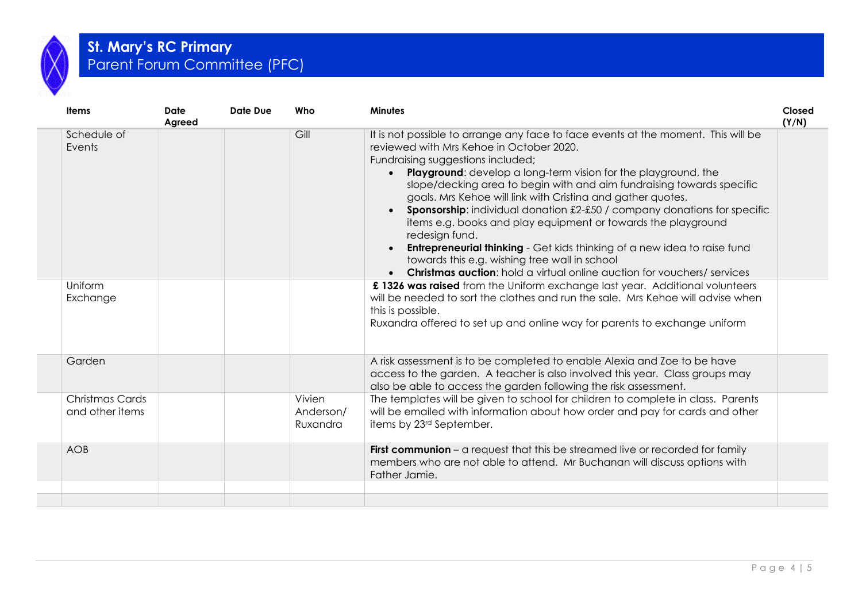

### **St. Mary's RC Primary**  Parent Forum Committee (PFC)

| Gill<br>Schedule of<br>It is not possible to arrange any face to face events at the moment. This will be<br>reviewed with Mrs Kehoe in October 2020.<br>Events<br>Fundraising suggestions included;<br><b>Playground:</b> develop a long-term vision for the playground, the<br>$\bullet$<br>slope/decking area to begin with and aim fundraising towards specific<br>goals. Mrs Kehoe will link with Cristina and gather quotes.<br><b>Sponsorship:</b> individual donation £2-£50 / company donations for specific<br>$\bullet$<br>items e.g. books and play equipment or towards the playground<br>redesign fund.<br><b>Entrepreneurial thinking</b> - Get kids thinking of a new idea to raise fund<br>towards this e.g. wishing tree wall in school<br><b>Christmas auction:</b> hold a virtual online auction for vouchers/ services<br>$\bullet$<br>Uniform<br>£ 1326 was raised from the Uniform exchange last year. Additional volunteers<br>will be needed to sort the clothes and run the sale. Mrs Kehoe will advise when<br>Exchange<br>this is possible.<br>Ruxandra offered to set up and online way for parents to exchange uniform<br>Garden<br>A risk assessment is to be completed to enable Alexia and Zoe to be have<br>access to the garden. A teacher is also involved this year. Class groups may<br>also be able to access the garden following the risk assessment.<br>Christmas Cards<br>Vivien<br>The templates will be given to school for children to complete in class. Parents<br>will be emailed with information about how order and pay for cards and other<br>and other items<br>Anderson/<br>items by 23 <sup>rd</sup> September.<br>Ruxandra | <b>Items</b> | <b>Date</b><br>Agreed | Date Due | Who | <b>Minutes</b> | Closed<br>(Y/N) |
|------------------------------------------------------------------------------------------------------------------------------------------------------------------------------------------------------------------------------------------------------------------------------------------------------------------------------------------------------------------------------------------------------------------------------------------------------------------------------------------------------------------------------------------------------------------------------------------------------------------------------------------------------------------------------------------------------------------------------------------------------------------------------------------------------------------------------------------------------------------------------------------------------------------------------------------------------------------------------------------------------------------------------------------------------------------------------------------------------------------------------------------------------------------------------------------------------------------------------------------------------------------------------------------------------------------------------------------------------------------------------------------------------------------------------------------------------------------------------------------------------------------------------------------------------------------------------------------------------------------------------------------------------------------------------------|--------------|-----------------------|----------|-----|----------------|-----------------|
|                                                                                                                                                                                                                                                                                                                                                                                                                                                                                                                                                                                                                                                                                                                                                                                                                                                                                                                                                                                                                                                                                                                                                                                                                                                                                                                                                                                                                                                                                                                                                                                                                                                                                    |              |                       |          |     |                |                 |
|                                                                                                                                                                                                                                                                                                                                                                                                                                                                                                                                                                                                                                                                                                                                                                                                                                                                                                                                                                                                                                                                                                                                                                                                                                                                                                                                                                                                                                                                                                                                                                                                                                                                                    |              |                       |          |     |                |                 |
|                                                                                                                                                                                                                                                                                                                                                                                                                                                                                                                                                                                                                                                                                                                                                                                                                                                                                                                                                                                                                                                                                                                                                                                                                                                                                                                                                                                                                                                                                                                                                                                                                                                                                    |              |                       |          |     |                |                 |
|                                                                                                                                                                                                                                                                                                                                                                                                                                                                                                                                                                                                                                                                                                                                                                                                                                                                                                                                                                                                                                                                                                                                                                                                                                                                                                                                                                                                                                                                                                                                                                                                                                                                                    |              |                       |          |     |                |                 |
| First communion - a request that this be streamed live or recorded for family<br><b>AOB</b><br>members who are not able to attend. Mr Buchanan will discuss options with<br>Father Jamie.                                                                                                                                                                                                                                                                                                                                                                                                                                                                                                                                                                                                                                                                                                                                                                                                                                                                                                                                                                                                                                                                                                                                                                                                                                                                                                                                                                                                                                                                                          |              |                       |          |     |                |                 |
|                                                                                                                                                                                                                                                                                                                                                                                                                                                                                                                                                                                                                                                                                                                                                                                                                                                                                                                                                                                                                                                                                                                                                                                                                                                                                                                                                                                                                                                                                                                                                                                                                                                                                    |              |                       |          |     |                |                 |